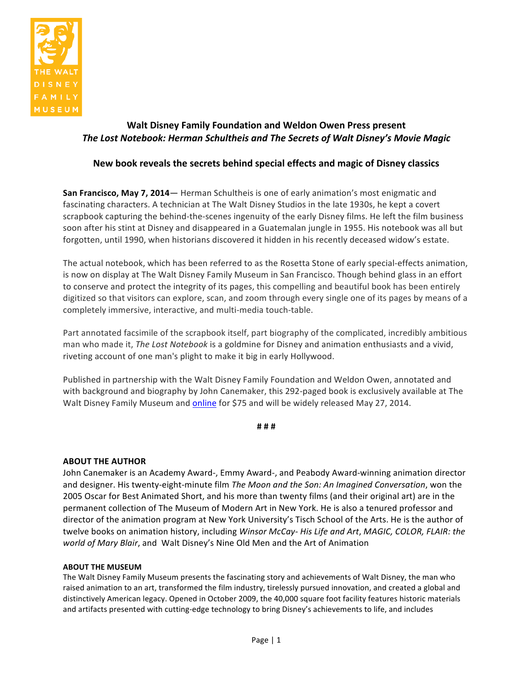

# Walt Disney Family Foundation and Weldon Owen Press present **The Lost Notebook: Herman Schultheis and The Secrets of Walt Disney's Movie Magic**

## New book reveals the secrets behind special effects and magic of Disney classics

**San Francisco, May 7, 2014**— Herman Schultheis is one of early animation's most enigmatic and fascinating characters. A technician at The Walt Disney Studios in the late 1930s, he kept a covert scrapbook capturing the behind-the-scenes ingenuity of the early Disney films. He left the film business soon after his stint at Disney and disappeared in a Guatemalan jungle in 1955. His notebook was all but forgotten, until 1990, when historians discovered it hidden in his recently deceased widow's estate.

The actual notebook, which has been referred to as the Rosetta Stone of early special-effects animation, is now on display at The Walt Disney Family Museum in San Francisco. Though behind glass in an effort to conserve and protect the integrity of its pages, this compelling and beautiful book has been entirely digitized so that visitors can explore, scan, and zoom through every single one of its pages by means of a completely immersive, interactive, and multi-media touch-table.

Part annotated facsimile of the scrapbook itself, part biography of the complicated, incredibly ambitious man who made it, *The Lost Notebook* is a goldmine for Disney and animation enthusiasts and a vivid, riveting account of one man's plight to make it big in early Hollywood.

Published in partnership with the Walt Disney Family Foundation and Weldon Owen, annotated and with background and biography by John Canemaker, this 292-paged book is exclusively available at The Walt Disney Family Museum and online for \$75 and will be widely released May 27, 2014.

**#!#!#**

### **ABOUT THE AUTHOR**

John Canemaker is an Academy Award-, Emmy Award-, and Peabody Award-winning animation director and designer. His twenty-eight-minute film *The Moon and the Son: An Imagined Conversation*, won the 2005 Oscar for Best Animated Short, and his more than twenty films (and their original art) are in the permanent collection of The Museum of Modern Art in New York. He is also a tenured professor and director of the animation program at New York University's Tisch School of the Arts. He is the author of twelve books on animation history, including *Winsor McCay- His Life and Art*, *MAGIC, COLOR, FLAIR: the world of Mary Blair,* and Walt Disney's Nine Old Men and the Art of Animation

#### **ABOUT THE MUSEUM**

The Walt Disney Family Museum presents the fascinating story and achievements of Walt Disney, the man who raised animation to an art, transformed the film industry, tirelessly pursued innovation, and created a global and distinctively American legacy. Opened in October 2009, the 40,000 square foot facility features historic materials and artifacts presented with cutting-edge technology to bring Disney's achievements to life, and includes